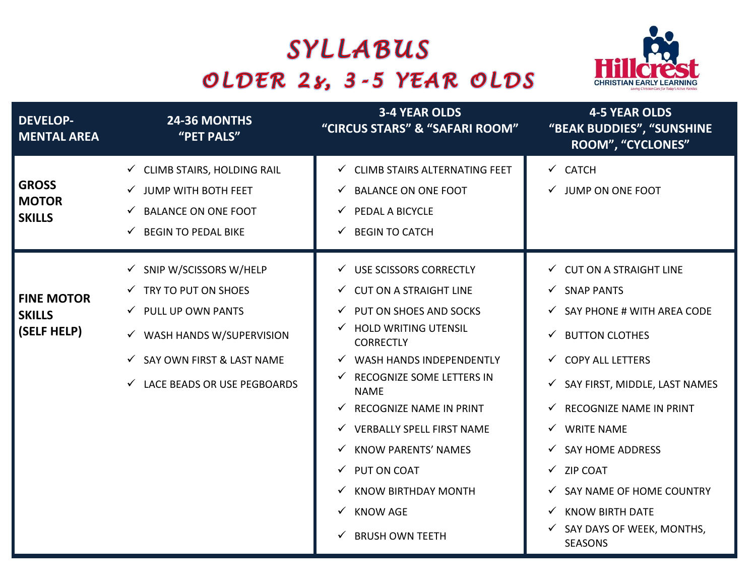## SYLLABUS OLDER 28, 3-5 YEAR OLDS



| <b>DEVELOP-</b><br><b>MENTAL AREA</b>             | 24-36 MONTHS<br>"PET PALS"                                                                                                                                                                          | <b>3-4 YEAR OLDS</b><br>"CIRCUS STARS" & "SAFARI ROOM"                                                                                                                                                                                                                                                                                                                                                                                                                          | <b>4-5 YEAR OLDS</b><br>"BEAK BUDDIES", "SUNSHINE<br>ROOM", "CYCLONES"                                                                                                                                                                                                                                                                                                                                                                        |
|---------------------------------------------------|-----------------------------------------------------------------------------------------------------------------------------------------------------------------------------------------------------|---------------------------------------------------------------------------------------------------------------------------------------------------------------------------------------------------------------------------------------------------------------------------------------------------------------------------------------------------------------------------------------------------------------------------------------------------------------------------------|-----------------------------------------------------------------------------------------------------------------------------------------------------------------------------------------------------------------------------------------------------------------------------------------------------------------------------------------------------------------------------------------------------------------------------------------------|
| <b>GROSS</b><br><b>MOTOR</b><br><b>SKILLS</b>     | $\checkmark$ CLIMB STAIRS, HOLDING RAIL<br>$\checkmark$ JUMP WITH BOTH FEET<br><b>BALANCE ON ONE FOOT</b><br><b>BEGIN TO PEDAL BIKE</b>                                                             | ← CLIMB STAIRS ALTERNATING FEET<br>$\checkmark$ BALANCE ON ONE FOOT<br>$\checkmark$ PEDAL A BICYCLE<br>$\checkmark$ BEGIN TO CATCH                                                                                                                                                                                                                                                                                                                                              | $\checkmark$ CATCH<br>$\checkmark$ JUMP ON ONE FOOT                                                                                                                                                                                                                                                                                                                                                                                           |
| <b>FINE MOTOR</b><br><b>SKILLS</b><br>(SELF HELP) | SNIP W/SCISSORS W/HELP<br>$\checkmark$ TRY TO PUT ON SHOES<br>$\checkmark$ PULL UP OWN PANTS<br>$\checkmark$ WASH HANDS W/SUPERVISION<br>SAY OWN FIRST & LAST NAME<br>← LACE BEADS OR USE PEGBOARDS | √ USE SCISSORS CORRECTLY<br>$\checkmark$ CUT ON A STRAIGHT LINE<br>$\checkmark$ PUT ON SHOES AND SOCKS<br>$\checkmark$ HOLD WRITING UTENSIL<br><b>CORRECTLY</b><br>$\checkmark$ WASH HANDS INDEPENDENTLY<br>√ RECOGNIZE SOME LETTERS IN<br><b>NAME</b><br>$\checkmark$ RECOGNIZE NAME IN PRINT<br>√ VERBALLY SPELL FIRST NAME<br>√ KNOW PARENTS' NAMES<br>$\checkmark$ PUT ON COAT<br>$\checkmark$ KNOW BIRTHDAY MONTH<br>$\checkmark$ KNOW AGE<br>$\checkmark$ BRUSH OWN TEETH | $\checkmark$ CUT ON A STRAIGHT LINE<br>√ SNAP PANTS<br>$\checkmark$ SAY PHONE # WITH AREA CODE<br>$\checkmark$ BUTTON CLOTHES<br>← COPY ALL LETTERS<br>SAY FIRST, MIDDLE, LAST NAMES<br>✓<br>$\checkmark$ RECOGNIZE NAME IN PRINT<br>$\checkmark$ WRITE NAME<br>$\checkmark$ SAY HOME ADDRESS<br>$\checkmark$ ZIP COAT<br>$\checkmark$ SAY NAME OF HOME COUNTRY<br><b>KNOW BIRTH DATE</b><br>✓<br>SAY DAYS OF WEEK, MONTHS,<br><b>SEASONS</b> |